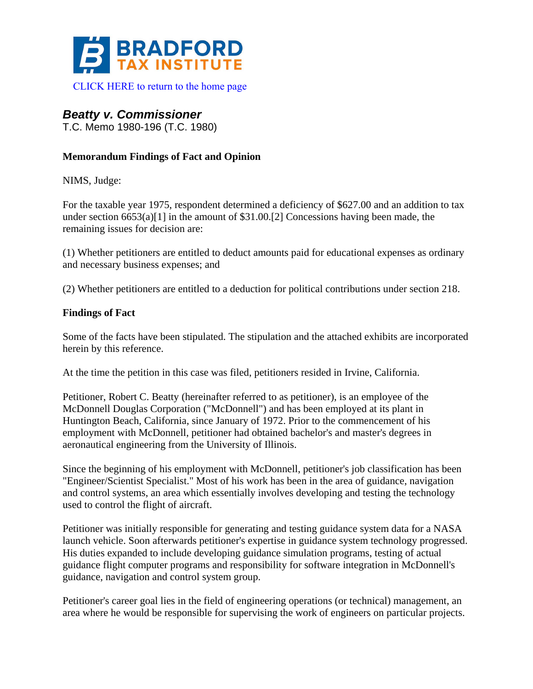

## *Beatty v. Commissioner*

T.C. Memo 1980-196 (T.C. 1980)

## **Memorandum Findings of Fact and Opinion**

NIMS, Judge:

For the taxable year 1975, respondent determined a deficiency of \$627.00 and an addition to tax under section  $6653(a)[1]$  in the amount of \$31.00.[2] Concessions having been made, the remaining issues for decision are:

(1) Whether petitioners are entitled to deduct amounts paid for educational expenses as ordinary and necessary business expenses; and

(2) Whether petitioners are entitled to a deduction for political contributions under section 218.

## **Findings of Fact**

Some of the facts have been stipulated. The stipulation and the attached exhibits are incorporated herein by this reference.

At the time the petition in this case was filed, petitioners resided in Irvine, California.

Petitioner, Robert C. Beatty (hereinafter referred to as petitioner), is an employee of the McDonnell Douglas Corporation ("McDonnell") and has been employed at its plant in Huntington Beach, California, since January of 1972. Prior to the commencement of his employment with McDonnell, petitioner had obtained bachelor's and master's degrees in aeronautical engineering from the University of Illinois.

Since the beginning of his employment with McDonnell, petitioner's job classification has been "Engineer/Scientist Specialist." Most of his work has been in the area of guidance, navigation and control systems, an area which essentially involves developing and testing the technology used to control the flight of aircraft.

Petitioner was initially responsible for generating and testing guidance system data for a NASA launch vehicle. Soon afterwards petitioner's expertise in guidance system technology progressed. His duties expanded to include developing guidance simulation programs, testing of actual guidance flight computer programs and responsibility for software integration in McDonnell's guidance, navigation and control system group.

Petitioner's career goal lies in the field of engineering operations (or technical) management, an area where he would be responsible for supervising the work of engineers on particular projects.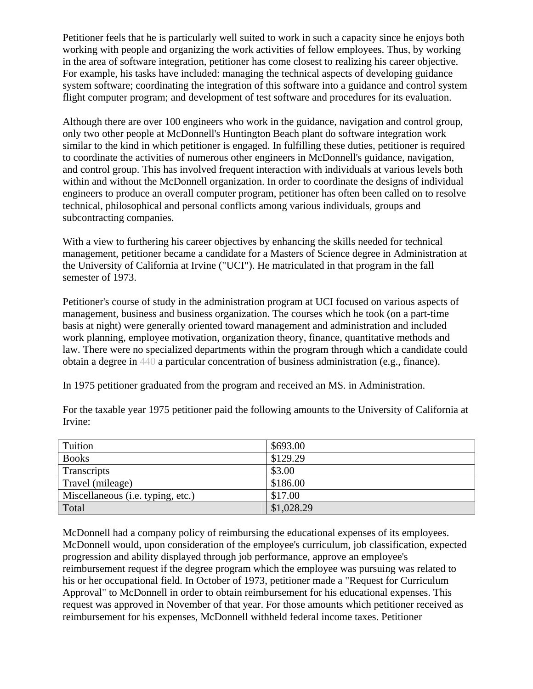Petitioner feels that he is particularly well suited to work in such a capacity since he enjoys both working with people and organizing the work activities of fellow employees. Thus, by working in the area of software integration, petitioner has come closest to realizing his career objective. For example, his tasks have included: managing the technical aspects of developing guidance system software; coordinating the integration of this software into a guidance and control system flight computer program; and development of test software and procedures for its evaluation.

Although there are over 100 engineers who work in the guidance, navigation and control group, only two other people at McDonnell's Huntington Beach plant do software integration work similar to the kind in which petitioner is engaged. In fulfilling these duties, petitioner is required to coordinate the activities of numerous other engineers in McDonnell's guidance, navigation, and control group. This has involved frequent interaction with individuals at various levels both within and without the McDonnell organization. In order to coordinate the designs of individual engineers to produce an overall computer program, petitioner has often been called on to resolve technical, philosophical and personal conflicts among various individuals, groups and subcontracting companies.

With a view to furthering his career objectives by enhancing the skills needed for technical management, petitioner became a candidate for a Masters of Science degree in Administration at the University of California at Irvine ("UCI"). He matriculated in that program in the fall semester of 1973.

Petitioner's course of study in the administration program at UCI focused on various aspects of management, business and business organization. The courses which he took (on a part-time basis at night) were generally oriented toward management and administration and included work planning, employee motivation, organization theory, finance, quantitative methods and law. There were no specialized departments within the program through which a candidate could obtain a degree in 440 a particular concentration of business administration (e.g., finance).

In 1975 petitioner graduated from the program and received an MS. in Administration.

| Tuition                           | \$693.00   |
|-----------------------------------|------------|
| <b>Books</b>                      | \$129.29   |
| Transcripts                       | \$3.00     |
| Travel (mileage)                  | \$186.00   |
| Miscellaneous (i.e. typing, etc.) | \$17.00    |
| Total                             | \$1,028.29 |

For the taxable year 1975 petitioner paid the following amounts to the University of California at Irvine:

McDonnell had a company policy of reimbursing the educational expenses of its employees. McDonnell would, upon consideration of the employee's curriculum, job classification, expected progression and ability displayed through job performance, approve an employee's reimbursement request if the degree program which the employee was pursuing was related to his or her occupational field. In October of 1973, petitioner made a "Request for Curriculum Approval" to McDonnell in order to obtain reimbursement for his educational expenses. This request was approved in November of that year. For those amounts which petitioner received as reimbursement for his expenses, McDonnell withheld federal income taxes. Petitioner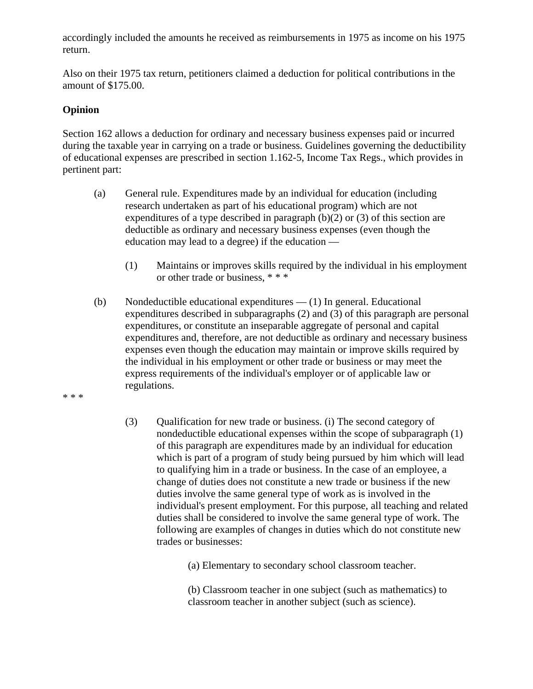accordingly included the amounts he received as reimbursements in 1975 as income on his 1975 return.

Also on their 1975 tax return, petitioners claimed a deduction for political contributions in the amount of \$175.00.

## **Opinion**

Section 162 allows a deduction for ordinary and necessary business expenses paid or incurred during the taxable year in carrying on a trade or business. Guidelines governing the deductibility of educational expenses are prescribed in section 1.162-5, Income Tax Regs., which provides in pertinent part:

- (a) General rule. Expenditures made by an individual for education (including research undertaken as part of his educational program) which are not expenditures of a type described in paragraph  $(b)(2)$  or  $(3)$  of this section are deductible as ordinary and necessary business expenses (even though the education may lead to a degree) if the education —
	- (1) Maintains or improves skills required by the individual in his employment or other trade or business, \* \* \*
- (b) Nondeductible educational expenditures (1) In general. Educational expenditures described in subparagraphs (2) and (3) of this paragraph are personal expenditures, or constitute an inseparable aggregate of personal and capital expenditures and, therefore, are not deductible as ordinary and necessary business expenses even though the education may maintain or improve skills required by the individual in his employment or other trade or business or may meet the express requirements of the individual's employer or of applicable law or regulations.
- \* \* \*
- (3) Qualification for new trade or business. (i) The second category of nondeductible educational expenses within the scope of subparagraph (1) of this paragraph are expenditures made by an individual for education which is part of a program of study being pursued by him which will lead to qualifying him in a trade or business. In the case of an employee, a change of duties does not constitute a new trade or business if the new duties involve the same general type of work as is involved in the individual's present employment. For this purpose, all teaching and related duties shall be considered to involve the same general type of work. The following are examples of changes in duties which do not constitute new trades or businesses:

(a) Elementary to secondary school classroom teacher.

(b) Classroom teacher in one subject (such as mathematics) to classroom teacher in another subject (such as science).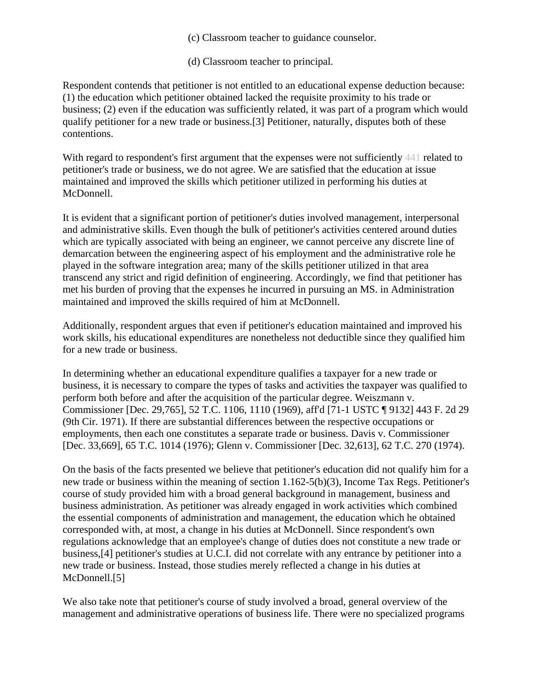- (c) Classroom teacher to guidance counselor.
- (d) Classroom teacher to principal.

Respondent contends that petitioner is not entitled to an educational expense deduction because: (1) the education which petitioner obtained lacked the requisite proximity to his trade or business; (2) even if the education was sufficiently related, it was part of a program which would qualify petitioner for a new trade or business.[3] Petitioner, naturally, disputes both of these contentions.

With regard to respondent's first argument that the expenses were not sufficiently 441 related to petitioner's trade or business, we do not agree. We are satisfied that the education at issue maintained and improved the skills which petitioner utilized in performing his duties at McDonnell.

It is evident that a significant portion of petitioner's duties involved management, interpersonal and administrative skills. Even though the bulk of petitioner's activities centered around duties which are typically associated with being an engineer, we cannot perceive any discrete line of demarcation between the engineering aspect of his employment and the administrative role he played in the software integration area; many of the skills petitioner utilized in that area transcend any strict and rigid definition of engineering. Accordingly, we find that petitioner has met his burden of proving that the expenses he incurred in pursuing an MS. in Administration maintained and improved the skills required of him at McDonnell.

Additionally, respondent argues that even if petitioner's education maintained and improved his work skills, his educational expenditures are nonetheless not deductible since they qualified him for a new trade or business.

In determining whether an educational expenditure qualifies a taxpayer for a new trade or business, it is necessary to compare the types of tasks and activities the taxpayer was qualified to perform both before and after the acquisition of the particular degree. Weiszmann v. Commissioner [Dec. 29,765], 52 T.C. 1106, 1110 (1969), aff'd [71-1 USTC ¶ 9132] 443 F. 2d 29 (9th Cir. 1971). If there are substantial differences between the respective occupations or employments, then each one constitutes a separate trade or business. Davis v. Commissioner [Dec. 33,669], 65 T.C. 1014 (1976); Glenn v. Commissioner [Dec. 32,613], 62 T.C. 270 (1974).

On the basis of the facts presented we believe that petitioner's education did not qualify him for a new trade or business within the meaning of section 1.162-5(b)(3), Income Tax Regs. Petitioner's course of study provided him with a broad general background in management, business and business administration. As petitioner was already engaged in work activities which combined the essential components of administration and management, the education which he obtained corresponded with, at most, a change in his duties at McDonnell. Since respondent's own regulations acknowledge that an employee's change of duties does not constitute a new trade or business,[4] petitioner's studies at U.C.I. did not correlate with any entrance by petitioner into a new trade or business. Instead, those studies merely reflected a change in his duties at McDonnell.[5]

We also take note that petitioner's course of study involved a broad, general overview of the management and administrative operations of business life. There were no specialized programs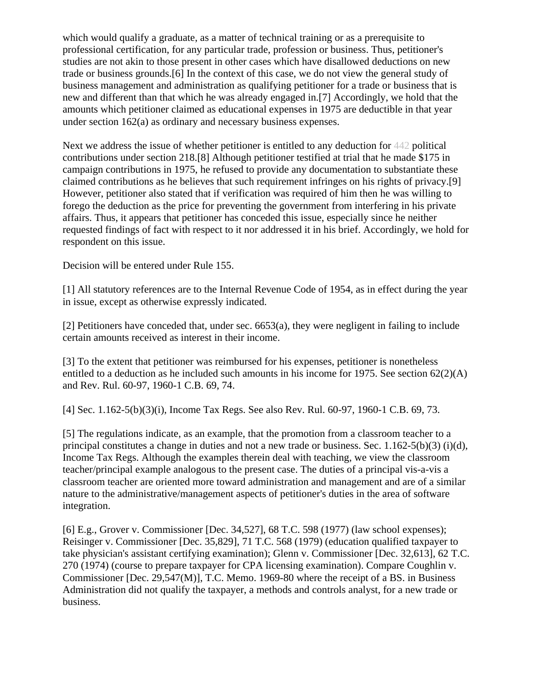which would qualify a graduate, as a matter of technical training or as a prerequisite to professional certification, for any particular trade, profession or business. Thus, petitioner's studies are not akin to those present in other cases which have disallowed deductions on new trade or business grounds.[6] In the context of this case, we do not view the general study of business management and administration as qualifying petitioner for a trade or business that is new and different than that which he was already engaged in.[7] Accordingly, we hold that the amounts which petitioner claimed as educational expenses in 1975 are deductible in that year under section 162(a) as ordinary and necessary business expenses.

Next we address the issue of whether petitioner is entitled to any deduction for 442 political contributions under section 218.[8] Although petitioner testified at trial that he made \$175 in campaign contributions in 1975, he refused to provide any documentation to substantiate these claimed contributions as he believes that such requirement infringes on his rights of privacy.[9] However, petitioner also stated that if verification was required of him then he was willing to forego the deduction as the price for preventing the government from interfering in his private affairs. Thus, it appears that petitioner has conceded this issue, especially since he neither requested findings of fact with respect to it nor addressed it in his brief. Accordingly, we hold for respondent on this issue.

Decision will be entered under Rule 155.

[1] All statutory references are to the Internal Revenue Code of 1954, as in effect during the year in issue, except as otherwise expressly indicated.

[2] Petitioners have conceded that, under sec. 6653(a), they were negligent in failing to include certain amounts received as interest in their income.

[3] To the extent that petitioner was reimbursed for his expenses, petitioner is nonetheless entitled to a deduction as he included such amounts in his income for 1975. See section 62(2)(A) and Rev. Rul. 60-97, 1960-1 C.B. 69, 74.

[4] Sec. 1.162-5(b)(3)(i), Income Tax Regs. See also Rev. Rul. 60-97, 1960-1 C.B. 69, 73.

[5] The regulations indicate, as an example, that the promotion from a classroom teacher to a principal constitutes a change in duties and not a new trade or business. Sec. 1.162-5(b)(3) (i)(d), Income Tax Regs. Although the examples therein deal with teaching, we view the classroom teacher/principal example analogous to the present case. The duties of a principal vis-a-vis a classroom teacher are oriented more toward administration and management and are of a similar nature to the administrative/management aspects of petitioner's duties in the area of software integration.

[6] E.g., Grover v. Commissioner [Dec. 34,527], 68 T.C. 598 (1977) (law school expenses); Reisinger v. Commissioner [Dec. 35,829], 71 T.C. 568 (1979) (education qualified taxpayer to take physician's assistant certifying examination); Glenn v. Commissioner [Dec. 32,613], 62 T.C. 270 (1974) (course to prepare taxpayer for CPA licensing examination). Compare Coughlin v. Commissioner [Dec. 29,547(M)], T.C. Memo. 1969-80 where the receipt of a BS. in Business Administration did not qualify the taxpayer, a methods and controls analyst, for a new trade or business.